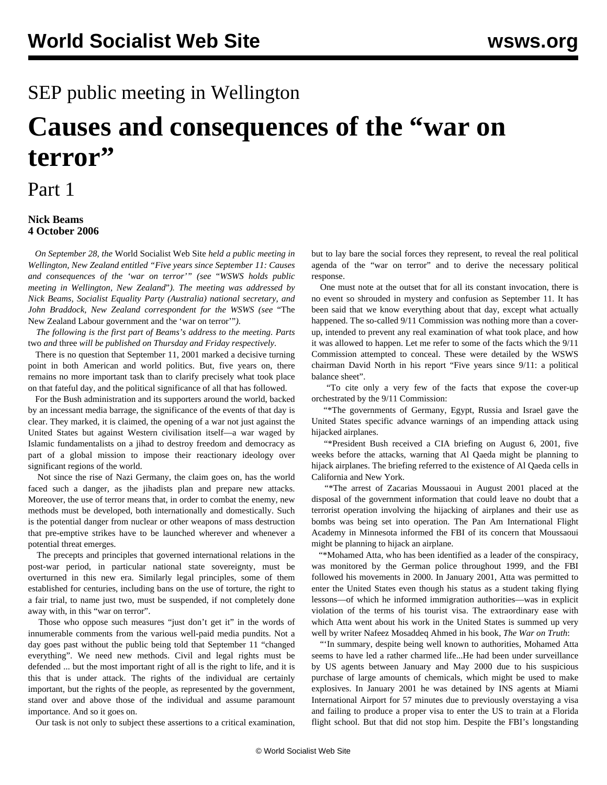## SEP public meeting in Wellington

# **Causes and consequences of the "war on terror"**

### Part 1

#### **Nick Beams 4 October 2006**

 *On September 28, the* World Socialist Web Site *held a public meeting in Wellington, New Zealand entitled "Five years since September 11: Causes and consequences of the 'war on terror'" (see* ["](newz-o03.shtml)*[WSWS holds public](newz-o03.shtml) [meeting in Wellington, New Zealand](newz-o03.shtml)*["](newz-o03.shtml)*). The meeting was addressed by Nick Beams, Socialist Equality Party (Australia) national secretary, and John Braddock, New Zealand correspondent for the WSWS (see* ["The](jbnz-o03.shtml) [New Zealand Labour government and the 'war on terror'"](jbnz-o03.shtml)*).*

 *The following is the first part of Beams's address to the meeting. Parts* [two](nib2-o05.shtml) *and* [three](nib3-o06.shtml) *will be published on Thursday and Friday respectively.*

 There is no question that September 11, 2001 marked a decisive turning point in both American and world politics. But, five years on, there remains no more important task than to clarify precisely what took place on that fateful day, and the political significance of all that has followed.

 For the Bush administration and its supporters around the world, backed by an incessant media barrage, the significance of the events of that day is clear. They marked, it is claimed, the opening of a war not just against the United States but against Western civilisation itself—a war waged by Islamic fundamentalists on a jihad to destroy freedom and democracy as part of a global mission to impose their reactionary ideology over significant regions of the world.

 Not since the rise of Nazi Germany, the claim goes on, has the world faced such a danger, as the jihadists plan and prepare new attacks. Moreover, the use of terror means that, in order to combat the enemy, new methods must be developed, both internationally and domestically. Such is the potential danger from nuclear or other weapons of mass destruction that pre-emptive strikes have to be launched wherever and whenever a potential threat emerges.

 The precepts and principles that governed international relations in the post-war period, in particular national state sovereignty, must be overturned in this new era. Similarly legal principles, some of them established for centuries, including bans on the use of torture, the right to a fair trial, to name just two, must be suspended, if not completely done away with, in this "war on terror".

 Those who oppose such measures "just don't get it" in the words of innumerable comments from the various well-paid media pundits. Not a day goes past without the public being told that September 11 "changed everything". We need new methods. Civil and legal rights must be defended ... but the most important right of all is the right to life, and it is this that is under attack. The rights of the individual are certainly important, but the rights of the people, as represented by the government, stand over and above those of the individual and assume paramount importance. And so it goes on.

Our task is not only to subject these assertions to a critical examination,

but to lay bare the social forces they represent, to reveal the real political agenda of the "war on terror" and to derive the necessary political response.

 One must note at the outset that for all its constant invocation, there is no event so shrouded in mystery and confusion as September 11. It has been said that we know everything about that day, except what actually happened. The so-called 9/11 Commission was nothing more than a coverup, intended to prevent any real examination of what took place, and how it was allowed to happen. Let me refer to some of the facts which the 9/11 Commission attempted to conceal. These were detailed by the WSWS chairman David North in his report "Five years since 9/11: a political balance sheet".

 "To cite only a very few of the facts that expose the cover-up orchestrated by the 9/11 Commission:

 "\*The governments of Germany, Egypt, Russia and Israel gave the United States specific advance warnings of an impending attack using hijacked airplanes.

 "\*President Bush received a CIA briefing on August 6, 2001, five weeks before the attacks, warning that Al Qaeda might be planning to hijack airplanes. The briefing referred to the existence of Al Qaeda cells in California and New York.

 "\*The arrest of Zacarias Moussaoui in August 2001 placed at the disposal of the government information that could leave no doubt that a terrorist operation involving the hijacking of airplanes and their use as bombs was being set into operation. The Pan Am International Flight Academy in Minnesota informed the FBI of its concern that Moussaoui might be planning to hijack an airplane.

 "\*Mohamed Atta, who has been identified as a leader of the conspiracy, was monitored by the German police throughout 1999, and the FBI followed his movements in 2000. In January 2001, Atta was permitted to enter the United States even though his status as a student taking flying lessons—of which he informed immigration authorities—was in explicit violation of the terms of his tourist visa. The extraordinary ease with which Atta went about his work in the United States is summed up very well by writer Nafeez Mosaddeq Ahmed in his book, *The War on Truth*:

 "'In summary, despite being well known to authorities, Mohamed Atta seems to have led a rather charmed life...He had been under surveillance by US agents between January and May 2000 due to his suspicious purchase of large amounts of chemicals, which might be used to make explosives. In January 2001 he was detained by INS agents at Miami International Airport for 57 minutes due to previously overstaying a visa and failing to produce a proper visa to enter the US to train at a Florida flight school. But that did not stop him. Despite the FBI's longstanding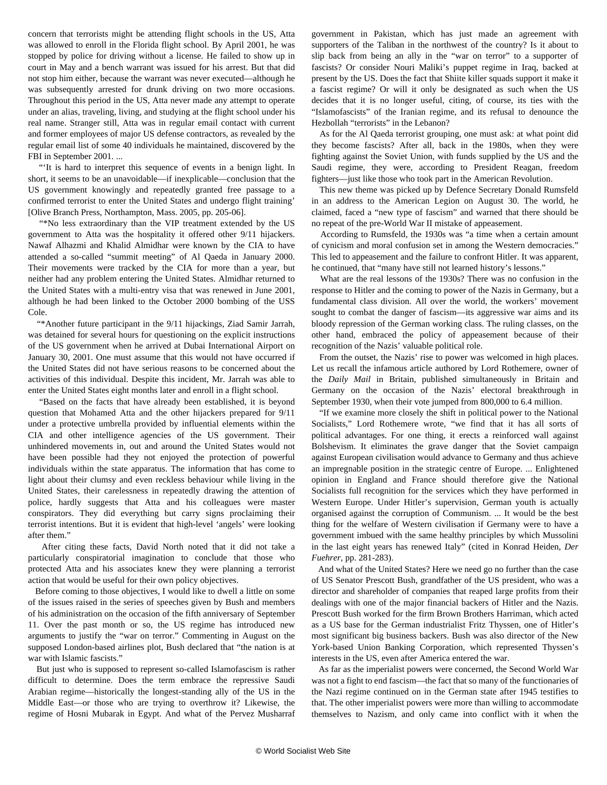concern that terrorists might be attending flight schools in the US, Atta was allowed to enroll in the Florida flight school. By April 2001, he was stopped by police for driving without a license. He failed to show up in court in May and a bench warrant was issued for his arrest. But that did not stop him either, because the warrant was never executed—although he was subsequently arrested for drunk driving on two more occasions. Throughout this period in the US, Atta never made any attempt to operate under an alias, traveling, living, and studying at the flight school under his real name. Stranger still, Atta was in regular email contact with current and former employees of major US defense contractors, as revealed by the regular email list of some 40 individuals he maintained, discovered by the FBI in September 2001. ...

 "'It is hard to interpret this sequence of events in a benign light. In short, it seems to be an unavoidable—if inexplicable—conclusion that the US government knowingly and repeatedly granted free passage to a confirmed terrorist to enter the United States and undergo flight training' [Olive Branch Press, Northampton, Mass. 2005, pp. 205-06].

 "\*No less extraordinary than the VIP treatment extended by the US government to Atta was the hospitality it offered other 9/11 hijackers. Nawaf Alhazmi and Khalid Almidhar were known by the CIA to have attended a so-called "summit meeting" of Al Qaeda in January 2000. Their movements were tracked by the CIA for more than a year, but neither had any problem entering the United States. Almidhar returned to the United States with a multi-entry visa that was renewed in June 2001, although he had been linked to the October 2000 bombing of the USS Cole.

 "\*Another future participant in the 9/11 hijackings, Ziad Samir Jarrah, was detained for several hours for questioning on the explicit instructions of the US government when he arrived at Dubai International Airport on January 30, 2001. One must assume that this would not have occurred if the United States did not have serious reasons to be concerned about the activities of this individual. Despite this incident, Mr. Jarrah was able to enter the United States eight months later and enroll in a flight school.

 "Based on the facts that have already been established, it is beyond question that Mohamed Atta and the other hijackers prepared for 9/11 under a protective umbrella provided by influential elements within the CIA and other intelligence agencies of the US government. Their unhindered movements in, out and around the United States would not have been possible had they not enjoyed the protection of powerful individuals within the state apparatus. The information that has come to light about their clumsy and even reckless behaviour while living in the United States, their carelessness in repeatedly drawing the attention of police, hardly suggests that Atta and his colleagues were master conspirators. They did everything but carry signs proclaiming their terrorist intentions. But it is evident that high-level 'angels' were looking after them."

 After citing these facts, David North noted that it did not take a particularly conspiratorial imagination to conclude that those who protected Atta and his associates knew they were planning a terrorist action that would be useful for their own policy objectives.

 Before coming to those objectives, I would like to dwell a little on some of the issues raised in the series of speeches given by Bush and members of his administration on the occasion of the fifth anniversary of September 11. Over the past month or so, the US regime has introduced new arguments to justify the "war on terror." Commenting in August on the supposed London-based airlines plot, Bush declared that "the nation is at war with Islamic fascists."

 But just who is supposed to represent so-called Islamofascism is rather difficult to determine. Does the term embrace the repressive Saudi Arabian regime—historically the longest-standing ally of the US in the Middle East—or those who are trying to overthrow it? Likewise, the regime of Hosni Mubarak in Egypt. And what of the Pervez Musharraf government in Pakistan, which has just made an agreement with supporters of the Taliban in the northwest of the country? Is it about to slip back from being an ally in the "war on terror" to a supporter of fascists? Or consider Nouri Maliki's puppet regime in Iraq, backed at present by the US. Does the fact that Shiite killer squads support it make it a fascist regime? Or will it only be designated as such when the US decides that it is no longer useful, citing, of course, its ties with the "Islamofascists" of the Iranian regime, and its refusal to denounce the Hezbollah "terrorists" in the Lebanon?

 As for the Al Qaeda terrorist grouping, one must ask: at what point did they become fascists? After all, back in the 1980s, when they were fighting against the Soviet Union, with funds supplied by the US and the Saudi regime, they were, according to President Reagan, freedom fighters—just like those who took part in the American Revolution.

 This new theme was picked up by Defence Secretary Donald Rumsfeld in an address to the American Legion on August 30. The world, he claimed, faced a "new type of fascism" and warned that there should be no repeat of the pre-World War II mistake of appeasement.

 According to Rumsfeld, the 1930s was "a time when a certain amount of cynicism and moral confusion set in among the Western democracies." This led to appeasement and the failure to confront Hitler. It was apparent, he continued, that "many have still not learned history's lessons."

 What are the real lessons of the 1930s? There was no confusion in the response to Hitler and the coming to power of the Nazis in Germany, but a fundamental class division. All over the world, the workers' movement sought to combat the danger of fascism—its aggressive war aims and its bloody repression of the German working class. The ruling classes, on the other hand, embraced the policy of appeasement because of their recognition of the Nazis' valuable political role.

 From the outset, the Nazis' rise to power was welcomed in high places. Let us recall the infamous article authored by Lord Rothemere, owner of the *Daily Mail* in Britain, published simultaneously in Britain and Germany on the occasion of the Nazis' electoral breakthrough in September 1930, when their vote jumped from 800,000 to 6.4 million.

 "If we examine more closely the shift in political power to the National Socialists," Lord Rothemere wrote, "we find that it has all sorts of political advantages. For one thing, it erects a reinforced wall against Bolshevism. It eliminates the grave danger that the Soviet campaign against European civilisation would advance to Germany and thus achieve an impregnable position in the strategic centre of Europe. ... Enlightened opinion in England and France should therefore give the National Socialists full recognition for the services which they have performed in Western Europe. Under Hitler's supervision, German youth is actually organised against the corruption of Communism. ... It would be the best thing for the welfare of Western civilisation if Germany were to have a government imbued with the same healthy principles by which Mussolini in the last eight years has renewed Italy" (cited in Konrad Heiden, *Der Fuehrer*, pp. 281-283).

 And what of the United States? Here we need go no further than the case of US Senator Prescott Bush, grandfather of the US president, who was a director and shareholder of companies that reaped large profits from their dealings with one of the major financial backers of Hitler and the Nazis. Prescott Bush worked for the firm Brown Brothers Harriman, which acted as a US base for the German industrialist Fritz Thyssen, one of Hitler's most significant big business backers. Bush was also director of the New York-based Union Banking Corporation, which represented Thyssen's interests in the US, even after America entered the war.

 As far as the imperialist powers were concerned, the Second World War was not a fight to end fascism—the fact that so many of the functionaries of the Nazi regime continued on in the German state after 1945 testifies to that. The other imperialist powers were more than willing to accommodate themselves to Nazism, and only came into conflict with it when the